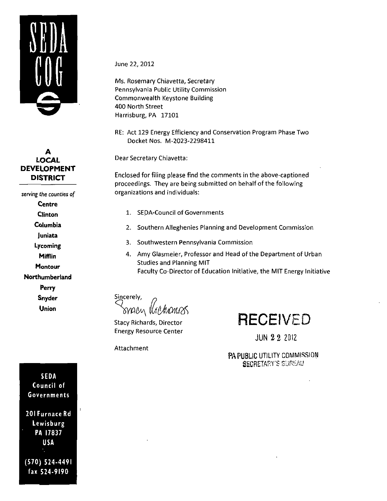

# **A LOCAL DEVELOPMENT DISTRICT**

serving the counties of Centre Clinton Columbia Juniata Lycoming Mifflin **Montour** Northumberland Perry Snyder Union

June 22, 2012

Ms. Rosemary Chiavetta, Secretary Pennsylvania Public Utility Commission Commonwealth Keystone Building 400 North Street Harrisburg, PA 17101

RE: Act 129 Energy Efficiency and Conservation Program Phase Two Docket Nos. M-2023-2298411

Dear Secretary Chiavetta:

Enclosed for filing please find the comments in the above-captioned proceedings. They are being submitted on behalf of the following organizations and individuals:

- 1. SEDA-Council of Governments
- 2. Southern Alleghenies Planning and Development Commission
- 3. Southwestern Pennsylvania Commission
- 4. Amy Glasmeier, Professor and Head of the Department of Urban Studies and Planning MIT Faculty Co-Director of Education Initiative, the MIT Energy Initiative

Sincerely,

Stacy Richards, Director Energy Resource Center

Attachment

**RECEIVED** 

JUN 2 2 20IZ

PA PUBLIC UTILITY COMMISSION SECRETARY'S SURi-AU

SEDA Council of Governments

201 Furnace Rd Lewisburg PA 17837 USA

(570) 524-4491 fax 524-9190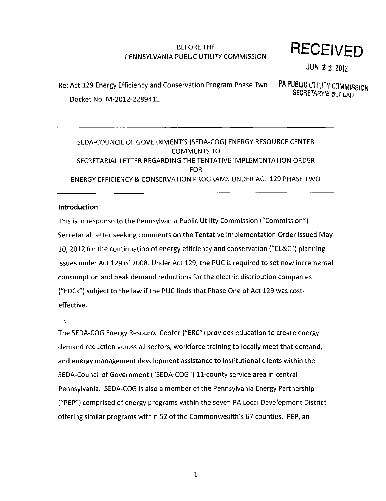# BEFORE THE PENNSYLVANIA PUBLIC UTILITY COMMISSION

# **RECEIVED**

JUN 2 2 2012

# Re: Act 129 Energy Efficiency and Conservation Program Phase Two PA PUBLIC UTILITY COMMISSION Docket No. M-2012-2289411

SECRETARY'S BUREAU

# SEDA-COUNCIL OF GOVERNMENT'S (SEDA-COG) ENERGY RESOURCE CENTER COMMENTS TO SECRETARIAL LETTER REGARDING THE TENTATIVE IMPLEMENTATION ORDER FOR ENERGY EFFICIENCY & CONSERVATION PROGRAMS UNDER ACT 129 PHASE TWO

# Introduction

This is in response to the Pennsylvania Public Utility Commission ("Commission") Secretarial Letter seeking comments on the Tentative Implementation Order issued May 10, 2012 for the continuation of energy efficiency and conservation ("EE&C") planning issues under Act 129 of 2008. Under Act 129, the PUC is required to set new incremental consumption and peak demand reductions for the electric distribution companies ("EDCs") subject to the law if the PUC finds that Phase One of Act 129 was costeffective.

 $\ddot{\cdot}$ 

The SEDA-COG Energy Resource Center ("ERC") provides education to create energy demand reduction across all sectors, workforce training to locally meet that demand, and energy management development assistance to institutional clients within the SEDA-Council of Government ("SEDA-COG") 11-county service area in central Pennsylvania. SEDA-COG is also a member of the Pennsylvania Energy Partnership ("PEP") comprised of energy programs within the seven PA Local Development District offering similar programs within 52 of the Commonwealth's 67 counties. PEP, an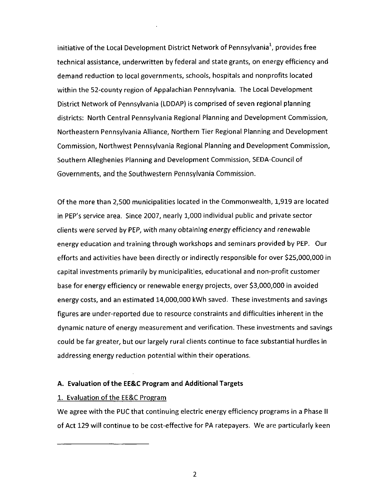initiative of the Local Development District Network of Pennsylvania<sup>+</sup>, provides free technical assistance, underwritten by federal and state grants, on energy efficiency and demand reduction to local governments, schools, hospitals and nonprofits located Within the 52-county region of Appalachian Pennsylvania. The Local Development District Network of Pennsylvania (LDDAP) is comprised of seven regional planning districts: North Central Pennsylvania Regional Planning and Development Commission, Northeastern Pennsylvania Alliance, Northern Tier Regional Planning and Development Commission, Northwest Pennsylvania Regional Planning and Development Commission, Southern Alleghenies Planning and Development Commission, SEDA-Council of Governments, and the Southwestern Pennsylvania Commission.

Of the more than 2,500 municipalities located in the Commonwealth, 1,919 are located in PEP's service area. Since 2007, nearly 1,000 individual public and private sector clients were served by PEP, with many obtaining energy efficiency and renewable energy education and training through workshops and seminars provided by PEP. Our efforts and activities have been directly or indirectly responsible for over \$25,000,000 in capital investments primarily by municipalities, educational and non-profit customer base for energy efficiency or renewable energy projects, over \$3,000,000 in avoided energy costs, and an estimated 14,000,000 kWh saved. These investments and savings figures are under-reported due to resource constraints and difficulties inherent in the dynamic nature of energy measurement and verification. These investments and savings could be far greater, but our largely rural clients continue to face substantial hurdles in addressing energy reduction potential within their operations.

#### **A. Evaluation of the EE&C Program and Additional Targets**

#### 1. Evaluation of the EE&C Program

We agree with the PUC that continuing electric energy efficiency programs in a Phase II of Act 129 will continue to be cost-effective for PA ratepayers. We are particularly keen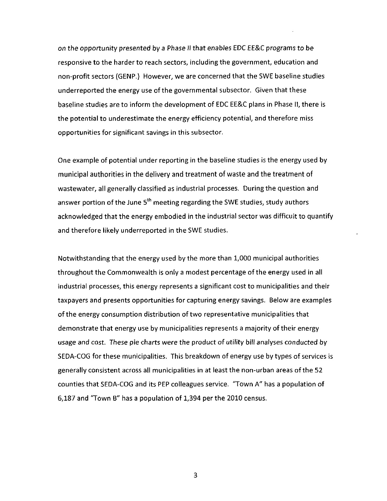on the opportunity presented by a Phase II that enables EDC EE&C programs to be responsive to the harder to reach sectors, including the government, education and non-profit sectors (GENP.) However, we are concerned that the SWE baseline studies underreported the energy use of the governmental subsector. Given that these baseline studies are to inform the development of EDC EE&C plans in Phase II, there is the potential to underestimate the energy efficiency potential, and therefore miss opportunities for significant savings in this subsector.

One example of potential under reporting in the baseline studies is the energy used by municipal authorities in the delivery and treatment of waste and the treatment of wastewater, all generally classified as industrial processes. During the question and answer portion of the June 5<sup>th</sup> meeting regarding the SWE studies, study authors acknowledged that the energy embodied in the industrial sector was difficult to quantify and therefore likely underreported in the SWE studies.

Notwithstanding that the energy used by the more than 1,000 municipal authorities throughout the Commonwealth is only a modest percentage of the energy used in all industrial processes, this energy represents a significant cost to municipalities and their taxpayers and presents opportunities for capturing energy savings. Below are examples of the energy consumption distribution of two representative municipalities that demonstrate that energy use by municipalities represents a majority of their energy usage and cost. These pie charts were the product of utility bill analyses conducted by SEDA-COG for these municipalities. This breakdown of energy use by types of services is generally consistent across all municipalities in at least the non-urban areas of the 52 counties that SEDA-COG and its PEP colleagues service. "Town A" has a population of 6,187 and "Town B" has a population of 1,394 per the 2010 census.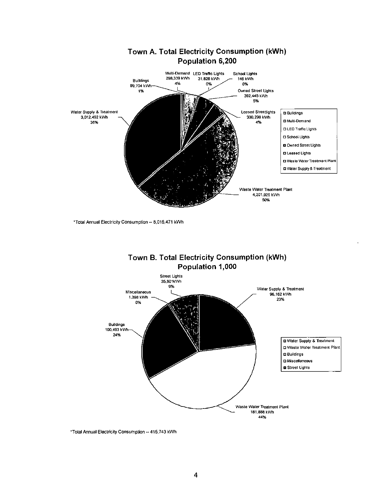

•Total Annual Electricity Consumption - 8,015.471 kWh





"Total Annual Electricity Consumption - 415,743 kWh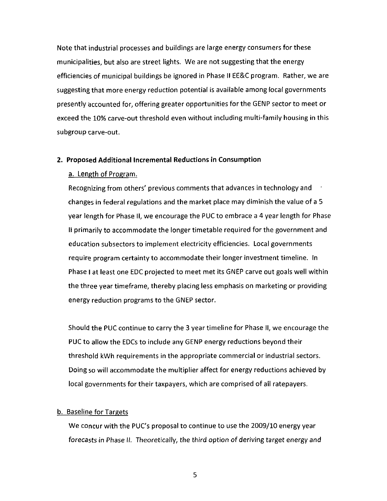Note that industrial processes and buildings are large energy consumers for these municipalities, but also are street lights. We are not suggesting that the energy efficiencies of municipal buildings be ignored in Phase II EE&C program. Rather, we are suggesting that more energy reduction potential is available among local governments presently accounted for, offering greater opportunities for the GENP sector to meet or exceed the 10% carve-out threshold even without including multi-family housing in this subgroup carve-out.

#### **2. Proposed Additional Incremental Reductions in Consumption**

#### a. Length of Program.

Recognizing from others' previous comments that advances in technology and changes in federal regulations and the market place may diminish the value of a 5 year length for Phase II, we encourage the PUC to embrace a 4 year length for Phase II primarily to accommodate the longer timetable required for the government and education subsectors to implement electricity efficiencies. Local governments require program certainty to accommodate their longer investment timeline. In Phase I at least one EDC projected to meet met its GNEP carve out goals well within the three year timeframe, thereby placing less emphasis on marketing or providing energy reduction programs to the GNEP sector.

Should the PUC continue to carry the 3 year timeline for Phase II, we encourage the PUC to allow the EDCs to include any GENP energy reductions beyond their threshold kWh requirements in the appropriate commercial or industrial sectors. Doing so will accommodate the multiplier affect for energy reductions achieved by local governments for their taxpayers, which are comprised of all ratepayers.

#### b. Baseline for Targets

We concur with the PUC's proposal to continue to use the 2009/10 energy year forecasts in Phase II. Theoretically, the third option of deriving target energy and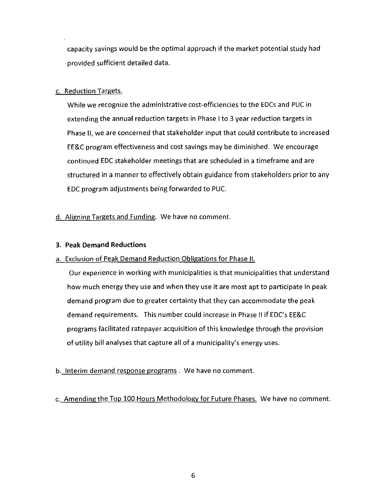capacity savings would be the optimal approach if the market potential study had provided sufficient detailed data.

# c. Reduction Targets.

While we recognize the administrative cost-efficiencies to the EDCs and PUC in extending the annual reduction targets in Phase I to 3 year reduction targets in Phase II, we are concerned that stakeholder input that could contribute to increased EE&C program effectiveness and cost savings may be diminished. We encourage continued EDC stakeholder meetings that are scheduled in a timeframe and are structured in a manner to effectively obtain guidance from stakeholders prior to any EDC program adjustments being forwarded to PUC.

**d. Aligning Targets and Funding. We have no comment.** 

# **3. Peak Demand Reductions**

# a. Exclusion of Peak Demand Reduction Obligations for Phase II.

Our experience in working with municipalities is that municipalities that understand how much energy they use and when they use it are most apt to participate in peak demand program due to greater certainty that they can accommodate the peak demand requirements. This number could increase in Phase II if EDC's EE&C programs facilitated ratepayer acquisition of this knowledge through the provision of utility bill analyses that capture all of a municipality's energy uses.

# b. Interim demand response programs . We have no comment.

c. Amending the Top 100 Hours Methodology for Future Phases. We have no comment.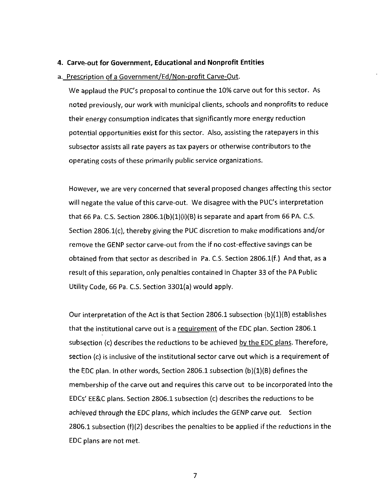#### **4. Carve-out for Government, Educational and Nonprofit Entities**

#### a. Prescription of a Government/Ed/Non-profit Carve-Out.

We applaud the PUC's proposal to continue the 10% carve out for this sector. As noted previously, our work with municipal clients, schools and nonprofits to reduce their energy consumption indicates that significantly more energy reduction potential opportunities exist for this sector. Also, assisting the ratepayers in this subsector assists all rate payers as tax payers or otherwise contributors to the operating costs of these primarily public service organizations.

However, we are very concerned that several proposed changes affecting this sector will negate the value of this carve-out. We disagree with the PUC's interpretation that 66 Pa. C.S. Section  $2806.1(b)(1)(i)(B)$  is separate and apart from 66 PA. C.S. Section 2806.1(c), thereby giving the PUC discretion to make modifications and/or remove the GENP sector carve-out from the if no cost-effective savings can be obtained from that sector as described in Pa. C.S. Section 2806.1(f.) And that, as a result of this separation, only penalties contained in Chapter 33 of the PA Public Utility Code, 66 Pa. C.S. Section 3301(a) would apply.

Our interpretation of the Act is that Section 2806.1 subsection  $(b)(1)(B)$  establishes that the institutional carve out is a requirement of the EDC plan. Section 2806.1 subsection (c) describes the reductions to be achieved by the EDC plans. Therefore, section (c) is inclusive of the institutional sector carve out which is a requirement of the EDC plan. In other words, Section 2806.1 subsection (b)(1)(B) defines the membership of the carve out and requires this carve out to be incorporated into the EDCs' EE&C plans. Section 2806.1 subsection (c) describes the reductions to be achieved through the EDC plans, which includes the GENP carve out. Section 2806.1 subsection (f)(2) describes the penalties to be applied if the reductions in the EDC plans are not met.

 $\overline{7}$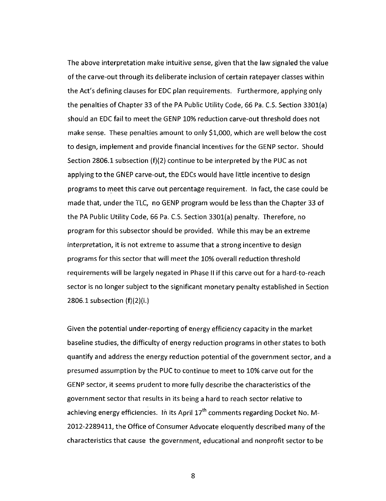The above interpretation make intuitive sense, given that the law signaled the value of the carve-out through its deliberate inclusion of certain ratepayer classes within the Act's defining clauses for EDC plan requirements. Furthermore, applying only the penalties of Chapter 33 of the PA Public Utility Code, 66 Pa. CS. Section 3301(a) should an EDC fail to meet the GENP 10% reduction carve-out threshold does not make sense. These penalties amount to only \$1,000, which are well below the cost to design, implement and provide financial incentives forthe GENP sector. Should Section 2806.1 subsection (f)(2) continue to be interpreted by the PUC as not applying to the GNEP carve-out, the EDCs would have little incentive to design programs to meet this carve out percentage requirement. In fact, the case could be made that, under the TLC, no GENP program would be less than the Chapter 33 of the PA Public Utility Code, 66 Pa. C.S. Section 3301(a) penalty. Therefore, no program for this subsector should be provided. While this may be an extreme interpretation, it is not extreme to assume that a strong incentive to design programs for this sector that will meet the 10% overall reduction threshold requirements will be largely negated in Phase II if this carve out for a hard-to-reach sector is no longer subject to the significant monetary penalty established in Section 2806.1 subsection (f)(2)(i.)

Given the potential under-reporting of energy efficiency capacity in the market baseline studies, the difficulty of energy reduction programs in other states to both quantify and address the energy reduction potential of the government sector, and a presumed assumption by the PUC to continue to meet to 10% carve out for the GENP sector, it seems prudent to more fully describe the characteristics of the government sector that results in its being a hard to reach sector relative to achieving energy efficiencies. In its April  $17<sup>th</sup>$  comments regarding Docket No. M-2012-2289411, the Office of Consumer Advocate eloquently described many of the characteristics that cause the government, educational and nonprofit sector to be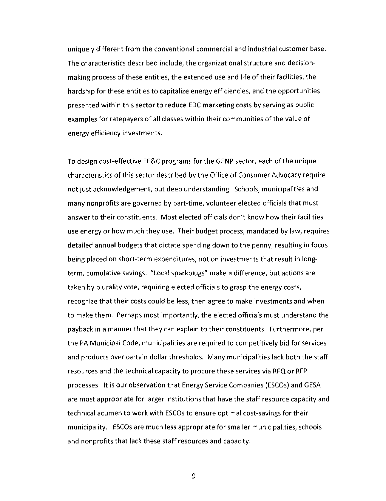uniquely different from the conventional commercial and industrial customer base. The characteristics described include, the organizational structure and decisionmaking process of these entities, the extended use and life of their facilities, the hardship for these entities to capitalize energy efficiencies, and the opportunities presented within this sector to reduce EDC marketing costs by serving as public examples for ratepayers of all classes within their communities of the value of energy efficiency investments.

To design cost-effective EE&C programs forthe GENP sector, each of the unique characteristics of this sector described by the Office of Consumer Advocacy require not just acknowledgement, but deep understanding. Schools, municipalities and many nonprofits are governed by part-time, volunteer elected officials that must answer to their constituents. Most elected officials don't know how their facilities use energy or how much they use. Their budget process, mandated by law, requires detailed annual budgets that dictate spending down to the penny, resulting in focus being placed on short-term expenditures, not on investments that result in longterm, cumulative savings. "Local sparkplugs" make a difference, but actions are taken by plurality vote, requiring elected officials to grasp the energy costs, recognize that their costs could be less, then agree to make investments and when to make them. Perhaps most importantly, the elected officials must understand the payback in a manner that they can explain to their constituents. Furthermore, per the PA Municipal Code, municipalities are required to competitively bid for services and products over certain dollar thresholds. Many municipalities lack both the staff resources and the technical capacity to procure these services via RFQ or RFP processes. It is our observation that Energy Service Companies (ESCOs) and GESA are most appropriate for larger institutions that have the staff resource capacity and technical acumen to work with ESCOs to ensure optimal cost-savings for their municipality. ESCOs are much less appropriate for smaller municipalities, schools and nonprofits that lack these staff resources and capacity.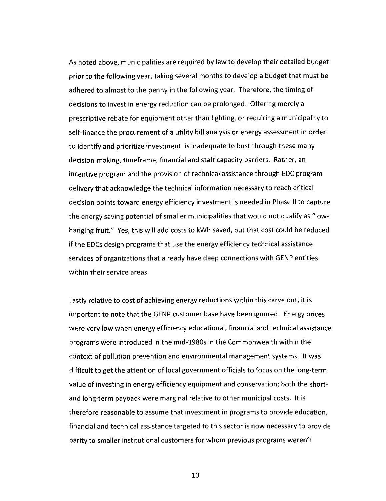As noted above, municipalities are required by law to develop their detailed budget prior to the following year, taking several months to develop a budget that must be adhered to almost to the penny in the following year. Therefore, the timing of decisions to invest in energy reduction can be prolonged. Offering merely a prescriptive rebate for equipment other than lighting, or requiring a municipality to self-finance the procurement of a utility bill analysis or energy assessment in order to identify and prioritize investment is inadequate to bust through these many decision-making, timeframe, financial and staff capacity barriers. Rather, an incentive program and the provision of technical assistance through EDC program delivery that acknowledge the technical information necessary to reach critical decision points toward energy efficiency investment is needed in Phase II to capture the energy saving potential of smaller municipalities that would not qualify as "lowhanging fruit." Yes, this will add costs to kWh saved, but that cost could be reduced if the EDCs design programs that use the energy efficiency technical assistance services of organizations that already have deep connections with GENP entities within their service areas.

Lastly relative to cost of achieving energy reductions within this carve out, it is important to note that the GENP customer base have been ignored. Energy prices were very low when energy efficiency educational, financial and technical assistance programs were introduced in the mid-1980s in the Commonwealth within the context of pollution prevention and environmental management systems. It was difficult to get the attention of local government officials to focus on the long-term value of investing in energy efficiency equipment and conservation; both the shortand long-term payback were marginal relative to other municipal costs. It is therefore reasonable to assume that investment in programs to provide education, financial and technical assistance targeted to this sector is now necessary to provide parity to smaller institutional customers for whom previous programs weren't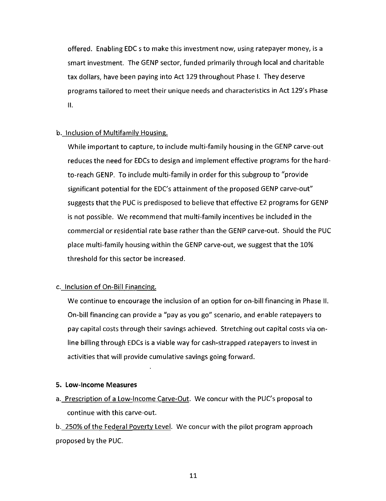offered. Enabling EDC s to make this investment now, using ratepayer money, is a smart investment. The GENP sector, funded primarily through local and charitable tax dollars, have been paying into Act 129 throughout Phase I. They deserve programs tailored to meet their unique needs and characteristics in Act 129's Phase  $II.$ 

### b. Inclusion of Multifamily Housing.

While important to capture, to include multi-family housing in the GENP carve-out reduces the need for EDCs to design and implement effective programs for the hardto-reach GENP. To include multi-family in order for this subgroup to "provide significant potential for the EDC's attainment of the proposed GENP carve-out" suggests that the PUC is predisposed to believe that effective E2 programs for GENP is not possible. We recommend that multi-family incentives be included in the commercial or residential rate base rather than the GENP carve-out. Should the PUC place multi-family housing within the GENP carve-out, we suggest that the 10% threshold for this sector be increased.

# c. Inclusion of On-Bill Financing.

We continue to encourage the inclusion of an option for on-bill financing in Phase II. On-bill financing can provide a "pay as you go" scenario, and enable ratepayers to pay capital costs through their savings achieved. Stretching out capital costs via online billing through EDCs is a viable way for cash-strapped ratepayers to invest in activities that will provide cumulative savings going forward.

#### **5. Low-Income Measures**

a. Prescription of a Low-Income Carve-Out. We concur with the PUC's proposal to continue with this carve-out.

b. 250% of the Federal Poverty Level. We concur with the pilot program approach proposed by the PUC.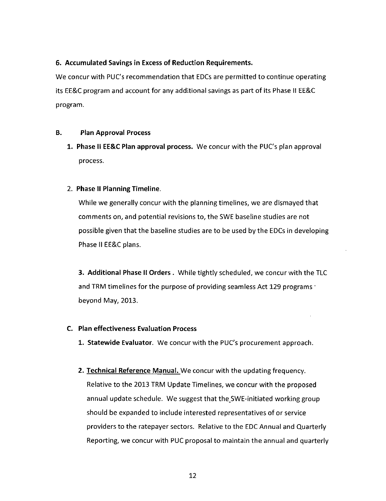# **6. Accumulated Savings in Excess of Reduction Requirements.**

We concur with PUC's recommendation that EDCs are permitted to continue operating its EE&C program and account for any additional savings as part of its Phase II EE&C program.

# **B. Plan Approval Process**

1. Phase II EE&C Plan approval process. We concur with the PUC's plan approval process.

# **2. Phase II Planning Timeline.**

While we generally concur with the planning timelines, we are dismayed that comments on, and potential revisions to, the SWE baseline studies are not possible given that the baseline studies are to be used by the EDCs in developing Phase II EE&C plans.

3. Additional Phase II Orders . While tightly scheduled, we concur with the TLC and TRM timelines for the purpose of providing seamless Act 129 programs ' beyond May, 2013.

# **C. Plan effectiveness Evaluation Process**

1. Statewide Evaluator. We concur with the PUC's procurement approach.

2. Technical Reference Manual. We concur with the updating frequency. Relative to the 2013 TRM Update Timelines, we concur with the proposed annual update schedule. We suggest that the SWE-initiated working group should be expanded to include interested representatives of or service providers to the ratepayer sectors. Relative to the EDC Annual and Quarterly Reporting, we concur with PUC proposal to maintain the annual and quarterly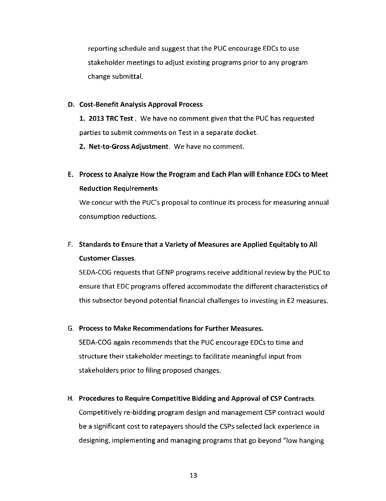reporting schedule and suggest that the PUC encourage EDCs to use stakeholder meetings to adjust existing programs prior to any program change submittal.

#### **D. Cost-Benefit Analysis Approval Process**

1. 2013 TRC Test. We have no comment given that the PUC has requested parties to submit comments on Test in a separate docket.

2. Net-to-Gross Adjustment. We have no comment.

**E. Process to Analyze How the Program and Each Plan will Enhance EDCs to Meet Reduction Requirements** 

We concur with the PUC's proposal to continue its process for measuring annual consumption reductions.

# **F. Standards to Ensure that a Variety of Measures are Applied Equitably to All Customer Classes.**

SEDA-COG requests that GENP programs receive additional review by the PUC to ensure that EDC programs offered accommodate the different characteristics of this subsector beyond potential financial challenges to investing in E2 measures.

### **G. Process to Make Recommendations for Further Measures.**

SEDA-COG again recommends that the PUC encourage EDCs to time and structure their stakeholder meetings to facilitate meaningful input from stakeholders prior to filing proposed changes.

#### **H. Procedures to Require Competitive Bidding and Approval of CSP Contracts.**

Competitively re-bidding program design and management CSP contract would be a significant cost to ratepayers should the CSPs selected lack experience in designing, implementing and managing programs that go beyond "low hanging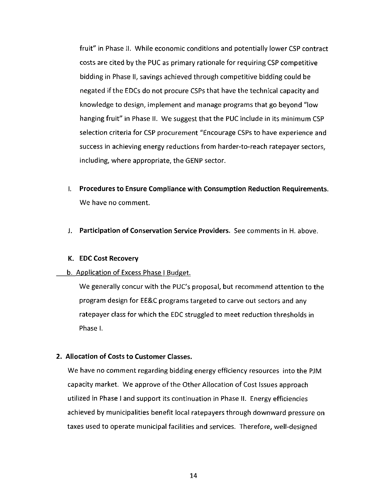fruit" in Phase II. While economic conditions and potentially lower CSP contract costs are cited by the PUC as primary rationale for requiring CSP competitive bidding in Phase II, savings achieved through competitive bidding could be negated if the EDCs do not procure CSPs that have the technical capacity and knowledge to design, implement and manage programs that go beyond "low hanging fruit" in Phase II. We suggest that the PUC include in its minimum CSP selection criteria for CSP procurement "Encourage CSPs to have experience and success in achieving energy reductions from harder-to-reach ratepayer sectors, including, where appropriate, the GENP sector.

- **I. Procedures to Ensure Compliance with Consumption Reduction Requirements.**  We have no comment.
- J. Participation of Conservation Service Providers. See comments in H. above.

#### **K. EDC Cost Recovery**

#### b. Application of Excess Phase I Budget.

We generally concur with the PUC's proposal, but recommend attention to the program design for EE&C programs targeted to carve out sectors and any ratepayer class for which the EDC struggled to meet reduction thresholds in Phase I.

#### 2. Allocation of Costs to Customer Classes.

We have no comment regarding bidding energy efficiency resources into the PJM capacity market. We approve of the Other Allocation of Cost Issues approach utilized in Phase I and support its continuation in Phase II. Energy efficiencies achieved by municipalities benefit local ratepayers through downward pressure on taxes used to operate municipal facilities and services. Therefore, well-designed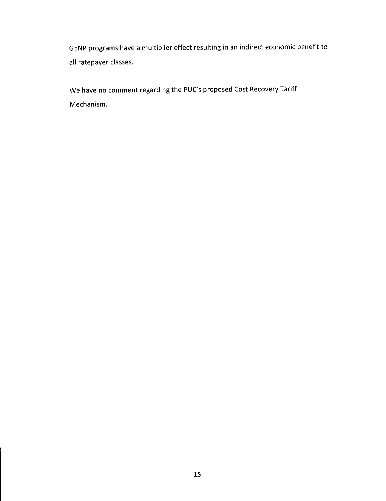GENP programs have a multiplier effect resulting in an indirect economic benefit to all ratepayer classes.

We have no comment regarding the PUC's proposed Cost Recovery Tariff Mechanism.